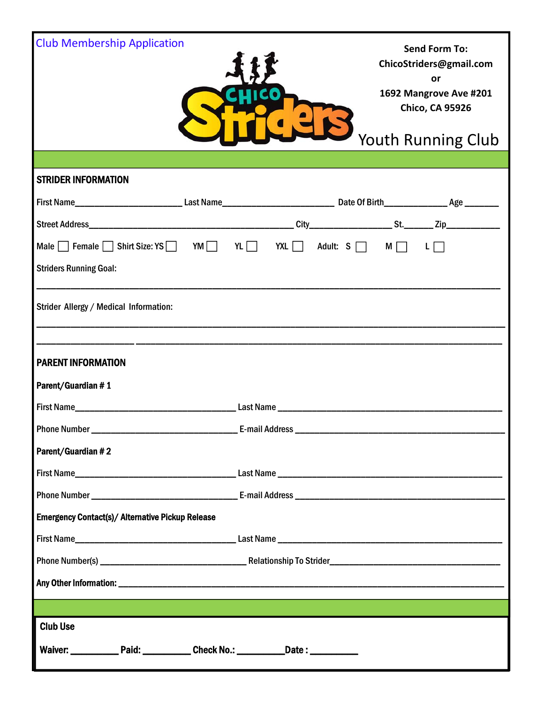| <b>Club Membership Application</b>                                                                                    |  |                       |  | <b>Send Form To:</b><br>ChicoStriders@gmail.com<br>or<br>1692 Mangrove Ave #201<br><b>Chico, CA 95926</b><br>Youth Running Club |
|-----------------------------------------------------------------------------------------------------------------------|--|-----------------------|--|---------------------------------------------------------------------------------------------------------------------------------|
| <b>STRIDER INFORMATION</b>                                                                                            |  |                       |  |                                                                                                                                 |
|                                                                                                                       |  |                       |  |                                                                                                                                 |
|                                                                                                                       |  |                       |  |                                                                                                                                 |
| Male Female Shirt Size: YS YM YL YL XL Adult: $S \cap M$ I                                                            |  |                       |  |                                                                                                                                 |
| <b>Striders Running Goal:</b>                                                                                         |  |                       |  |                                                                                                                                 |
| Strider Allergy / Medical Information:                                                                                |  |                       |  |                                                                                                                                 |
|                                                                                                                       |  |                       |  |                                                                                                                                 |
| <b>PARENT INFORMATION</b>                                                                                             |  |                       |  |                                                                                                                                 |
| Parent/Guardian #1                                                                                                    |  |                       |  |                                                                                                                                 |
| First Name                                                                                                            |  |                       |  |                                                                                                                                 |
| <b>Phone Number</b>                                                                                                   |  | <b>E-mail Address</b> |  |                                                                                                                                 |
| Parent/Guardian #2                                                                                                    |  |                       |  |                                                                                                                                 |
|                                                                                                                       |  |                       |  |                                                                                                                                 |
|                                                                                                                       |  |                       |  |                                                                                                                                 |
| <b>Emergency Contact(s)/ Alternative Pickup Release</b>                                                               |  |                       |  |                                                                                                                                 |
|                                                                                                                       |  |                       |  |                                                                                                                                 |
|                                                                                                                       |  |                       |  |                                                                                                                                 |
|                                                                                                                       |  |                       |  |                                                                                                                                 |
|                                                                                                                       |  |                       |  |                                                                                                                                 |
| <b>Club Use</b>                                                                                                       |  |                       |  |                                                                                                                                 |
| <u> 1989 - Johann Johann Stoff, deutscher Stoffen und der Stoffen und der Stoffen und der Stoffen und der Stoffen</u> |  |                       |  |                                                                                                                                 |